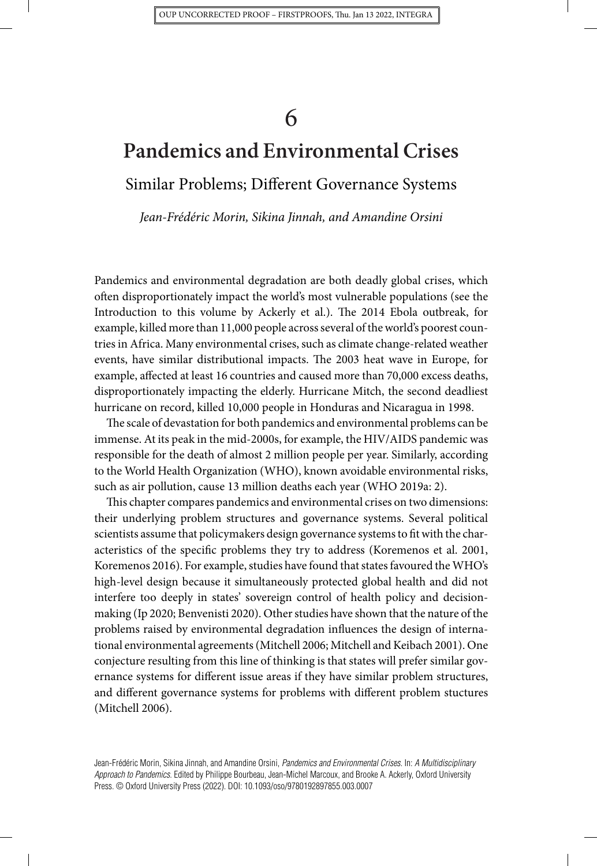# **Pandemics and Environmental Crises**

Similar Problems; Different Governance Systems

*Jean-Frédéric Morin, Sikina Jinnah, and Amandine Orsini*

Pandemics and environmental degradation are both deadly global crises, which often disproportionately impact the world's most vulnerable populations (see the Introduction to this volume by Ackerly et al.). The 2014 Ebola outbreak, for example, killed more than 11,000 people across several of the world's poorest countries in Africa. Many environmental crises, such as climate change-related weather events, have similar distributional impacts. The 2003 heat wave in Europe, for example, affected at least 16 countries and caused more than 70,000 excess deaths, disproportionately impacting the elderly. Hurricane Mitch, the second deadliest hurricane on record, killed 10,000 people in Honduras and Nicaragua in 1998.

The scale of devastation for both pandemics and environmental problems can be immense. At its peak in the mid-2000s, for example, the HIV/AIDS pandemic was responsible for the death of almost 2 million people per year. Similarly, according to the World Health Organization (WHO), known avoidable environmental risks, such as air pollution, cause 13 million deaths each year (WHO 2019a: 2).

This chapter compares pandemics and environmental crises on two dimensions: their underlying problem structures and governance systems. Several political scientists assume that policymakers design governance systems to fit with the characteristics of the specific problems they try to address (Koremenos et al. 2001, Koremenos 2016). For example, studies have found that states favoured the WHO's high-level design because it simultaneously protected global health and did not interfere too deeply in states' sovereign control of health policy and decisionmaking (Ip 2020; Benvenisti 2020). Other studies have shown that the nature of the problems raised by environmental degradation influences the design of international environmental agreements (Mitchell 2006; Mitchell and Keibach 2001). One conjecture resulting from this line of thinking is that states will prefer similar governance systems for different issue areas if they have similar problem structures, and different governance systems for problems with different problem stuctures (Mitchell 2006).

Jean-Frédéric Morin, Sikina Jinnah, and Amandine Orsini, *Pandemics and Environmental Crises.* In: *A Multidisciplinary Approach to Pandemics*. Edited by Philippe Bourbeau, Jean-Michel Marcoux, and Brooke A. Ackerly, Oxford University Press. © Oxford University Press (2022). DOI: 10.1093/oso/9780192897855.003.0007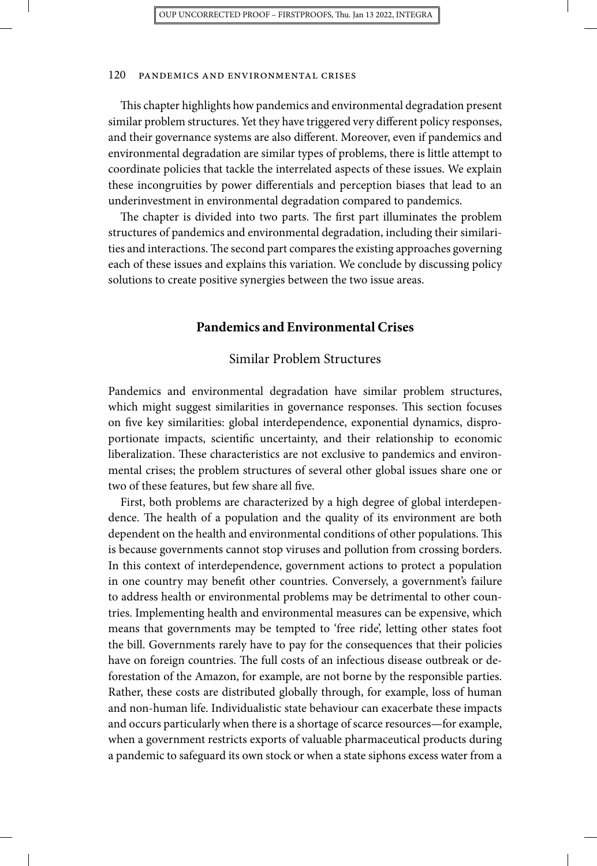This chapter highlights how pandemics and environmental degradation present similar problem structures. Yet they have triggered very different policy responses, and their governance systems are also different. Moreover, even if pandemics and environmental degradation are similar types of problems, there is little attempt to coordinate policies that tackle the interrelated aspects of these issues. We explain these incongruities by power differentials and perception biases that lead to an underinvestment in environmental degradation compared to pandemics.

The chapter is divided into two parts. The first part illuminates the problem structures of pandemics and environmental degradation, including their similarities and interactions.The second part compares the existing approaches governing each of these issues and explains this variation. We conclude by discussing policy solutions to create positive synergies between the two issue areas.

#### **Pandemics and Environmental Crises**

#### Similar Problem Structures

Pandemics and environmental degradation have similar problem structures, which might suggest similarities in governance responses. This section focuses on five key similarities: global interdependence, exponential dynamics, disproportionate impacts, scientific uncertainty, and their relationship to economic liberalization. These characteristics are not exclusive to pandemics and environmental crises; the problem structures of several other global issues share one or two of these features, but few share all five.

First, both problems are characterized by a high degree of global interdependence. The health of a population and the quality of its environment are both dependent on the health and environmental conditions of other populations. This is because governments cannot stop viruses and pollution from crossing borders. In this context of interdependence, government actions to protect a population in one country may benefit other countries. Conversely, a government's failure to address health or environmental problems may be detrimental to other countries. Implementing health and environmental measures can be expensive, which means that governments may be tempted to 'free ride', letting other states foot the bill. Governments rarely have to pay for the consequences that their policies have on foreign countries. The full costs of an infectious disease outbreak or deforestation of the Amazon, for example, are not borne by the responsible parties. Rather, these costs are distributed globally through, for example, loss of human and non-human life. Individualistic state behaviour can exacerbate these impacts and occurs particularly when there is a shortage of scarce resources—for example, when a government restricts exports of valuable pharmaceutical products during a pandemic to safeguard its own stock or when a state siphons excess water from a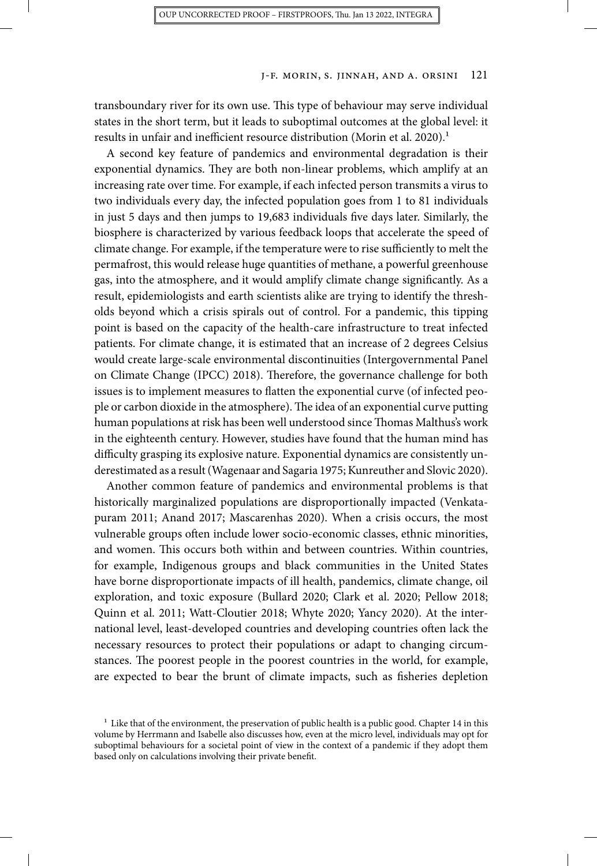transboundary river for its own use. This type of behaviour may serve individual states in the short term, but it leads to suboptimal outcomes at the global level: it results in unfair and inefficient resource distribution (Morin et al. 2020).<sup>1</sup>

A second key feature of pandemics and environmental degradation is their exponential dynamics. They are both non-linear problems, which amplify at an increasing rate over time. For example, if each infected person transmits a virus to two individuals every day, the infected population goes from 1 to 81 individuals in just 5 days and then jumps to 19,683 individuals five days later. Similarly, the biosphere is characterized by various feedback loops that accelerate the speed of climate change. For example, if the temperature were to rise sufficiently to melt the permafrost, this would release huge quantities of methane, a powerful greenhouse gas, into the atmosphere, and it would amplify climate change significantly. As a result, epidemiologists and earth scientists alike are trying to identify the thresholds beyond which a crisis spirals out of control. For a pandemic, this tipping point is based on the capacity of the health-care infrastructure to treat infected patients. For climate change, it is estimated that an increase of 2 degrees Celsius would create large-scale environmental discontinuities (Intergovernmental Panel on Climate Change (IPCC) 2018). Therefore, the governance challenge for both issues is to implement measures to flatten the exponential curve (of infected people or carbon dioxide in the atmosphere). The idea of an exponential curve putting human populations at risk has been well understood since Thomas Malthus's work in the eighteenth century. However, studies have found that the human mind has difficulty grasping its explosive nature. Exponential dynamics are consistently underestimated as a result (Wagenaar and Sagaria 1975; Kunreuther and Slovic 2020).

Another common feature of pandemics and environmental problems is that historically marginalized populations are disproportionally impacted (Venkatapuram 2011; Anand 2017; Mascarenhas 2020). When a crisis occurs, the most vulnerable groups often include lower socio-economic classes, ethnic minorities, and women. This occurs both within and between countries. Within countries, for example, Indigenous groups and black communities in the United States have borne disproportionate impacts of ill health, pandemics, climate change, oil exploration, and toxic exposure (Bullard 2020; Clark et al. 2020; Pellow 2018; Quinn et al. 2011; Watt-Cloutier 2018; Whyte 2020; Yancy 2020). At the international level, least-developed countries and developing countries often lack the necessary resources to protect their populations or adapt to changing circumstances. The poorest people in the poorest countries in the world, for example, are expected to bear the brunt of climate impacts, such as fisheries depletion

 $^{\rm 1}$  Like that of the environment, the preservation of public health is a public good. Chapter 14 in this volume by Herrmann and Isabelle also discusses how, even at the micro level, individuals may opt for suboptimal behaviours for a societal point of view in the context of a pandemic if they adopt them based only on calculations involving their private benefit.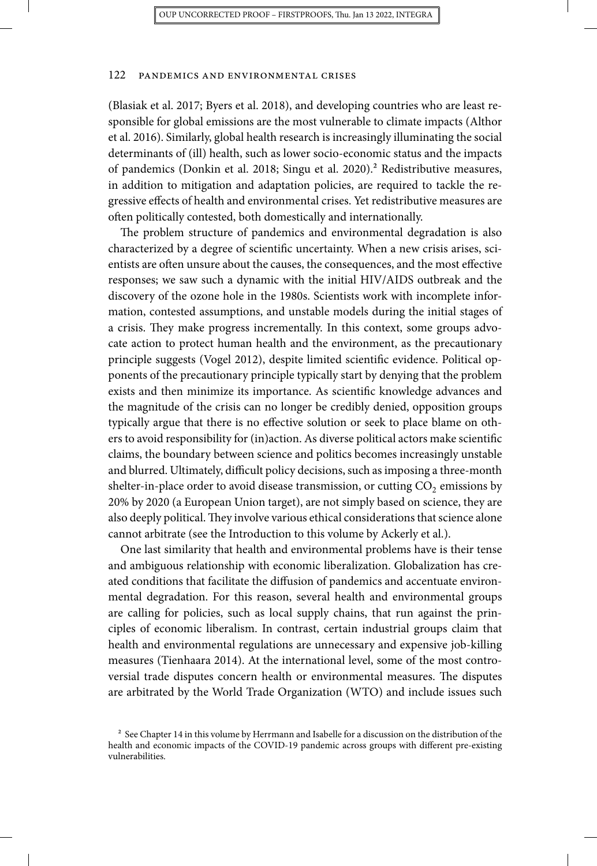(Blasiak et al. 2017; Byers et al. 2018), and developing countries who are least responsible for global emissions are the most vulnerable to climate impacts (Althor et al. 2016). Similarly, global health research is increasingly illuminating the social determinants of (ill) health, such as lower socio-economic status and the impacts of pandemics (Donkin et al. 2018; Singu et al. 2020).2 Redistributive measures, in addition to mitigation and adaptation policies, are required to tackle the regressive effects of health and environmental crises. Yet redistributive measures are often politically contested, both domestically and internationally.

The problem structure of pandemics and environmental degradation is also characterized by a degree of scientific uncertainty. When a new crisis arises, scientists are often unsure about the causes, the consequences, and the most effective responses; we saw such a dynamic with the initial HIV/AIDS outbreak and the discovery of the ozone hole in the 1980s. Scientists work with incomplete information, contested assumptions, and unstable models during the initial stages of a crisis. They make progress incrementally. In this context, some groups advocate action to protect human health and the environment, as the precautionary principle suggests (Vogel 2012), despite limited scientific evidence. Political opponents of the precautionary principle typically start by denying that the problem exists and then minimize its importance. As scientific knowledge advances and the magnitude of the crisis can no longer be credibly denied, opposition groups typically argue that there is no effective solution or seek to place blame on others to avoid responsibility for (in)action. As diverse political actors make scientific claims, the boundary between science and politics becomes increasingly unstable and blurred. Ultimately, difficult policy decisions, such as imposing a three-month shelter-in-place order to avoid disease transmission, or cutting  $CO<sub>2</sub>$  emissions by 20% by 2020 (a European Union target), are not simply based on science, they are also deeply political.They involve various ethical considerations that science alone cannot arbitrate (see the Introduction to this volume by Ackerly et al.).

One last similarity that health and environmental problems have is their tense and ambiguous relationship with economic liberalization. Globalization has created conditions that facilitate the diffusion of pandemics and accentuate environmental degradation. For this reason, several health and environmental groups are calling for policies, such as local supply chains, that run against the principles of economic liberalism. In contrast, certain industrial groups claim that health and environmental regulations are unnecessary and expensive job-killing measures (Tienhaara 2014). At the international level, some of the most controversial trade disputes concern health or environmental measures. The disputes are arbitrated by the World Trade Organization (WTO) and include issues such

<sup>&</sup>lt;sup>2</sup> See Chapter 14 in this volume by Herrmann and Isabelle for a discussion on the distribution of the health and economic impacts of the COVID-19 pandemic across groups with different pre-existing vulnerabilities.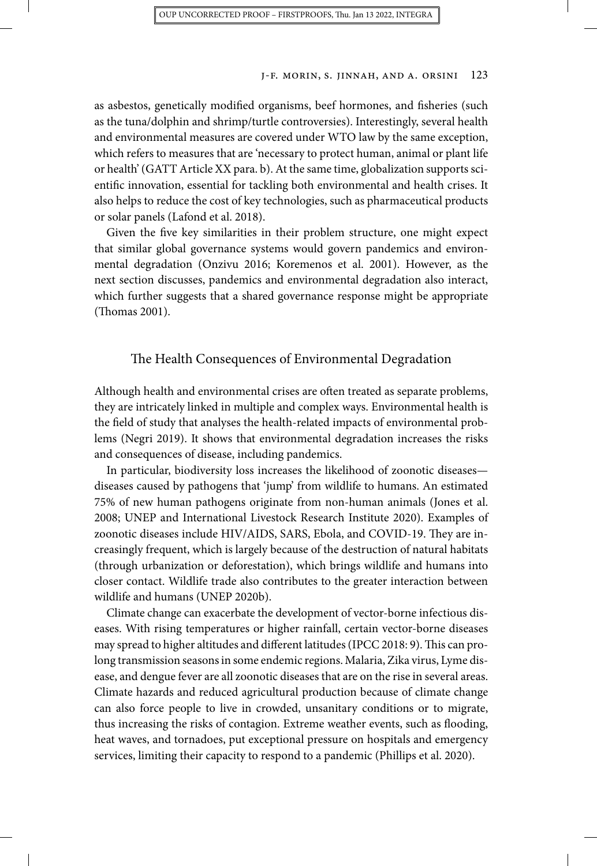as asbestos, genetically modified organisms, beef hormones, and fisheries (such as the tuna/dolphin and shrimp/turtle controversies). Interestingly, several health and environmental measures are covered under WTO law by the same exception, which refers to measures that are 'necessary to protect human, animal or plant life or health' (GATT Article XX para. b). At the same time, globalization supports scientific innovation, essential for tackling both environmental and health crises. It also helps to reduce the cost of key technologies, such as pharmaceutical products or solar panels (Lafond et al. 2018).

Given the five key similarities in their problem structure, one might expect that similar global governance systems would govern pandemics and environmental degradation (Onzivu 2016; Koremenos et al. 2001). However, as the next section discusses, pandemics and environmental degradation also interact, which further suggests that a shared governance response might be appropriate (Thomas 2001).

## The Health Consequences of Environmental Degradation

Although health and environmental crises are often treated as separate problems, they are intricately linked in multiple and complex ways. Environmental health is the field of study that analyses the health-related impacts of environmental problems (Negri 2019). It shows that environmental degradation increases the risks and consequences of disease, including pandemics.

In particular, biodiversity loss increases the likelihood of zoonotic diseases diseases caused by pathogens that 'jump' from wildlife to humans. An estimated 75% of new human pathogens originate from non-human animals (Jones et al. 2008; UNEP and International Livestock Research Institute 2020). Examples of zoonotic diseases include HIV/AIDS, SARS, Ebola, and COVID-19. They are increasingly frequent, which is largely because of the destruction of natural habitats (through urbanization or deforestation), which brings wildlife and humans into closer contact. Wildlife trade also contributes to the greater interaction between wildlife and humans (UNEP 2020b).

Climate change can exacerbate the development of vector-borne infectious diseases. With rising temperatures or higher rainfall, certain vector-borne diseases may spread to higher altitudes and different latitudes (IPCC 2018: 9).This can prolong transmission seasons in some endemic regions. Malaria, Zika virus, Lyme disease, and dengue fever are all zoonotic diseases that are on the rise in several areas. Climate hazards and reduced agricultural production because of climate change can also force people to live in crowded, unsanitary conditions or to migrate, thus increasing the risks of contagion. Extreme weather events, such as flooding, heat waves, and tornadoes, put exceptional pressure on hospitals and emergency services, limiting their capacity to respond to a pandemic (Phillips et al. 2020).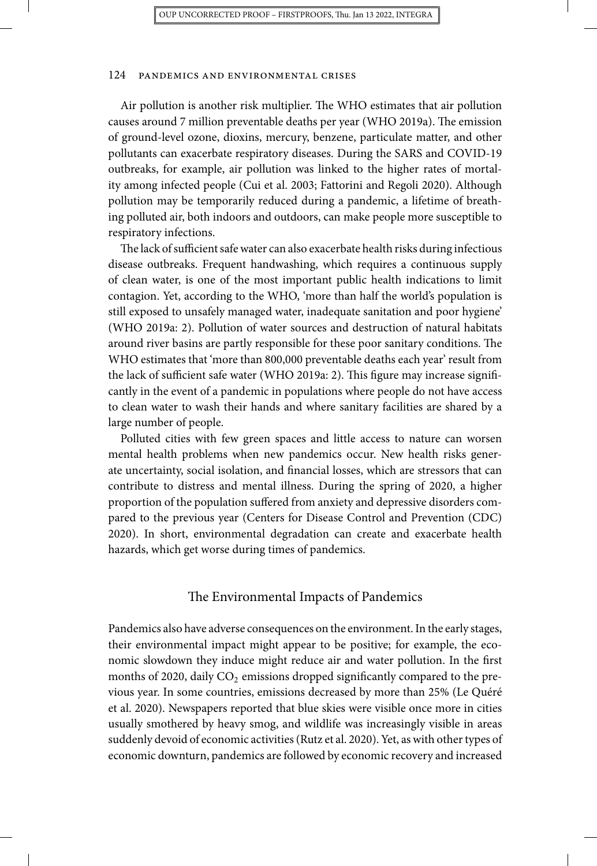Air pollution is another risk multiplier. The WHO estimates that air pollution causes around 7 million preventable deaths per year (WHO 2019a). The emission of ground-level ozone, dioxins, mercury, benzene, particulate matter, and other pollutants can exacerbate respiratory diseases. During the SARS and COVID-19 outbreaks, for example, air pollution was linked to the higher rates of mortality among infected people (Cui et al. 2003; Fattorini and Regoli 2020). Although pollution may be temporarily reduced during a pandemic, a lifetime of breathing polluted air, both indoors and outdoors, can make people more susceptible to respiratory infections.

The lack of sufficient safe water can also exacerbate health risks during infectious disease outbreaks. Frequent handwashing, which requires a continuous supply of clean water, is one of the most important public health indications to limit contagion. Yet, according to the WHO, 'more than half the world's population is still exposed to unsafely managed water, inadequate sanitation and poor hygiene' (WHO 2019a: 2). Pollution of water sources and destruction of natural habitats around river basins are partly responsible for these poor sanitary conditions. The WHO estimates that 'more than 800,000 preventable deaths each year' result from the lack of sufficient safe water (WHO 2019a: 2). This figure may increase significantly in the event of a pandemic in populations where people do not have access to clean water to wash their hands and where sanitary facilities are shared by a large number of people.

Polluted cities with few green spaces and little access to nature can worsen mental health problems when new pandemics occur. New health risks generate uncertainty, social isolation, and financial losses, which are stressors that can contribute to distress and mental illness. During the spring of 2020, a higher proportion of the population suffered from anxiety and depressive disorders compared to the previous year (Centers for Disease Control and Prevention (CDC) 2020). In short, environmental degradation can create and exacerbate health hazards, which get worse during times of pandemics.

## The Environmental Impacts of Pandemics

Pandemics also have adverse consequences on the environment. In the early stages, their environmental impact might appear to be positive; for example, the economic slowdown they induce might reduce air and water pollution. In the first months of 2020, daily  $CO<sub>2</sub>$  emissions dropped significantly compared to the previous year. In some countries, emissions decreased by more than 25% (Le Quéré et al. 2020). Newspapers reported that blue skies were visible once more in cities usually smothered by heavy smog, and wildlife was increasingly visible in areas suddenly devoid of economic activities (Rutz et al. 2020). Yet, as with other types of economic downturn, pandemics are followed by economic recovery and increased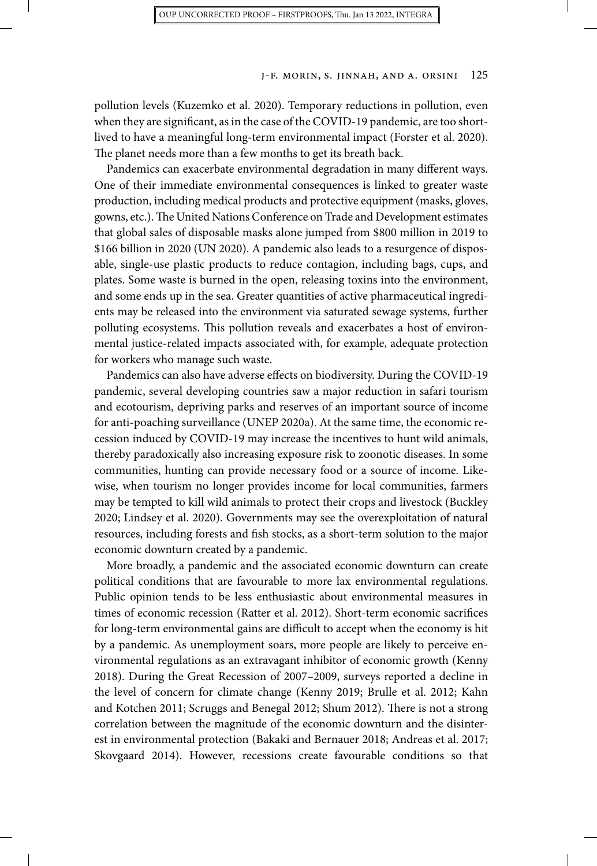pollution levels (Kuzemko et al. 2020). Temporary reductions in pollution, even when they are significant, as in the case of the COVID-19 pandemic, are too shortlived to have a meaningful long-term environmental impact (Forster et al. 2020). The planet needs more than a few months to get its breath back.

Pandemics can exacerbate environmental degradation in many different ways. One of their immediate environmental consequences is linked to greater waste production, including medical products and protective equipment (masks, gloves, gowns, etc.).The United Nations Conference on Trade and Development estimates that global sales of disposable masks alone jumped from \$800 million in 2019 to \$166 billion in 2020 (UN 2020). A pandemic also leads to a resurgence of disposable, single-use plastic products to reduce contagion, including bags, cups, and plates. Some waste is burned in the open, releasing toxins into the environment, and some ends up in the sea. Greater quantities of active pharmaceutical ingredients may be released into the environment via saturated sewage systems, further polluting ecosystems. This pollution reveals and exacerbates a host of environmental justice-related impacts associated with, for example, adequate protection for workers who manage such waste.

Pandemics can also have adverse effects on biodiversity. During the COVID-19 pandemic, several developing countries saw a major reduction in safari tourism and ecotourism, depriving parks and reserves of an important source of income for anti-poaching surveillance (UNEP 2020a). At the same time, the economic recession induced by COVID-19 may increase the incentives to hunt wild animals, thereby paradoxically also increasing exposure risk to zoonotic diseases. In some communities, hunting can provide necessary food or a source of income. Likewise, when tourism no longer provides income for local communities, farmers may be tempted to kill wild animals to protect their crops and livestock (Buckley 2020; Lindsey et al. 2020). Governments may see the overexploitation of natural resources, including forests and fish stocks, as a short-term solution to the major economic downturn created by a pandemic.

More broadly, a pandemic and the associated economic downturn can create political conditions that are favourable to more lax environmental regulations. Public opinion tends to be less enthusiastic about environmental measures in times of economic recession (Ratter et al. 2012). Short-term economic sacrifices for long-term environmental gains are difficult to accept when the economy is hit by a pandemic. As unemployment soars, more people are likely to perceive environmental regulations as an extravagant inhibitor of economic growth (Kenny 2018). During the Great Recession of 2007–2009, surveys reported a decline in the level of concern for climate change (Kenny 2019; Brulle et al. 2012; Kahn and Kotchen 2011; Scruggs and Benegal 2012; Shum 2012). There is not a strong correlation between the magnitude of the economic downturn and the disinterest in environmental protection (Bakaki and Bernauer 2018; Andreas et al. 2017; Skovgaard 2014). However, recessions create favourable conditions so that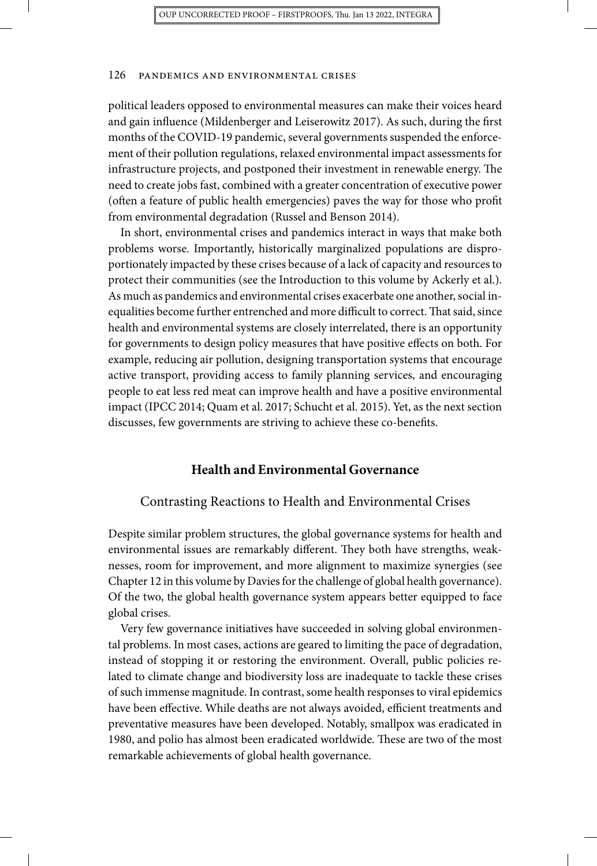political leaders opposed to environmental measures can make their voices heard and gain influence (Mildenberger and Leiserowitz 2017). As such, during the first months of the COVID-19 pandemic, several governments suspended the enforcement of their pollution regulations, relaxed environmental impact assessments for infrastructure projects, and postponed their investment in renewable energy. The need to create jobs fast, combined with a greater concentration of executive power (often a feature of public health emergencies) paves the way for those who profit from environmental degradation (Russel and Benson 2014).

In short, environmental crises and pandemics interact in ways that make both problems worse. Importantly, historically marginalized populations are disproportionately impacted by these crises because of a lack of capacity and resources to protect their communities (see the Introduction to this volume by Ackerly et al.). As much as pandemics and environmental crises exacerbate one another, social inequalities become further entrenched and more difficult to correct.That said, since health and environmental systems are closely interrelated, there is an opportunity for governments to design policy measures that have positive effects on both. For example, reducing air pollution, designing transportation systems that encourage active transport, providing access to family planning services, and encouraging people to eat less red meat can improve health and have a positive environmental impact (IPCC 2014; Quam et al. 2017; Schucht et al. 2015). Yet, as the next section discusses, few governments are striving to achieve these co-benefits.

# **Health and Environmental Governance**

#### Contrasting Reactions to Health and Environmental Crises

Despite similar problem structures, the global governance systems for health and environmental issues are remarkably different. They both have strengths, weaknesses, room for improvement, and more alignment to maximize synergies (see Chapter 12 in this volume by Davies for the challenge of global health governance). Of the two, the global health governance system appears better equipped to face global crises.

Very few governance initiatives have succeeded in solving global environmental problems. In most cases, actions are geared to limiting the pace of degradation, instead of stopping it or restoring the environment. Overall, public policies related to climate change and biodiversity loss are inadequate to tackle these crises of such immense magnitude. In contrast, some health responses to viral epidemics have been effective. While deaths are not always avoided, efficient treatments and preventative measures have been developed. Notably, smallpox was eradicated in 1980, and polio has almost been eradicated worldwide. These are two of the most remarkable achievements of global health governance.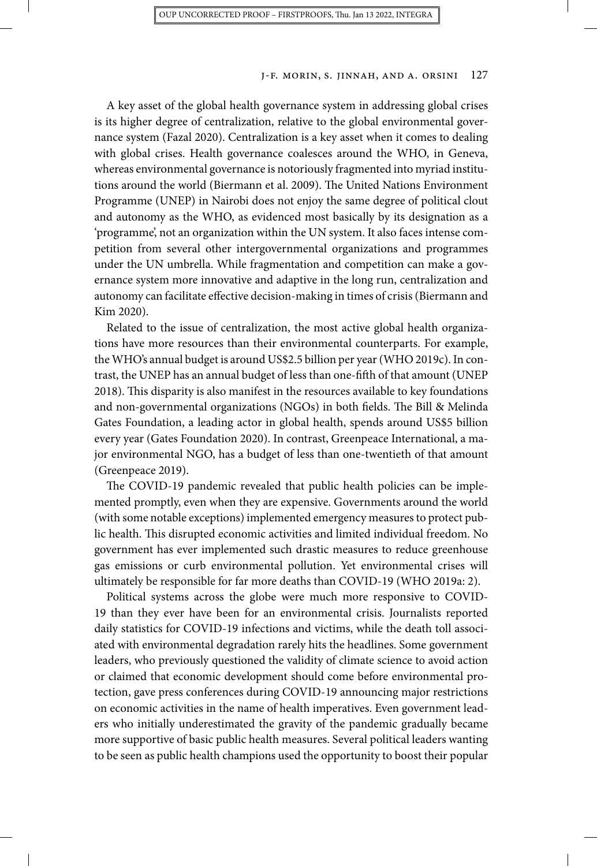A key asset of the global health governance system in addressing global crises is its higher degree of centralization, relative to the global environmental governance system (Fazal 2020). Centralization is a key asset when it comes to dealing with global crises. Health governance coalesces around the WHO, in Geneva, whereas environmental governance is notoriously fragmented into myriad institutions around the world (Biermann et al. 2009). The United Nations Environment Programme (UNEP) in Nairobi does not enjoy the same degree of political clout and autonomy as the WHO, as evidenced most basically by its designation as a 'programme', not an organization within the UN system. It also faces intense competition from several other intergovernmental organizations and programmes under the UN umbrella. While fragmentation and competition can make a governance system more innovative and adaptive in the long run, centralization and autonomy can facilitate effective decision-making in times of crisis (Biermann and Kim 2020).

Related to the issue of centralization, the most active global health organizations have more resources than their environmental counterparts. For example, the WHO's annual budget is around US\$2.5 billion per year (WHO 2019c). In contrast, the UNEP has an annual budget of less than one-fifth of that amount (UNEP 2018). This disparity is also manifest in the resources available to key foundations and non-governmental organizations (NGOs) in both fields. The Bill & Melinda Gates Foundation, a leading actor in global health, spends around US\$5 billion every year (Gates Foundation 2020). In contrast, Greenpeace International, a major environmental NGO, has a budget of less than one-twentieth of that amount (Greenpeace 2019).

The COVID-19 pandemic revealed that public health policies can be implemented promptly, even when they are expensive. Governments around the world (with some notable exceptions) implemented emergency measures to protect public health. This disrupted economic activities and limited individual freedom. No government has ever implemented such drastic measures to reduce greenhouse gas emissions or curb environmental pollution. Yet environmental crises will ultimately be responsible for far more deaths than COVID-19 (WHO 2019a: 2).

Political systems across the globe were much more responsive to COVID-19 than they ever have been for an environmental crisis. Journalists reported daily statistics for COVID-19 infections and victims, while the death toll associated with environmental degradation rarely hits the headlines. Some government leaders, who previously questioned the validity of climate science to avoid action or claimed that economic development should come before environmental protection, gave press conferences during COVID-19 announcing major restrictions on economic activities in the name of health imperatives. Even government leaders who initially underestimated the gravity of the pandemic gradually became more supportive of basic public health measures. Several political leaders wanting to be seen as public health champions used the opportunity to boost their popular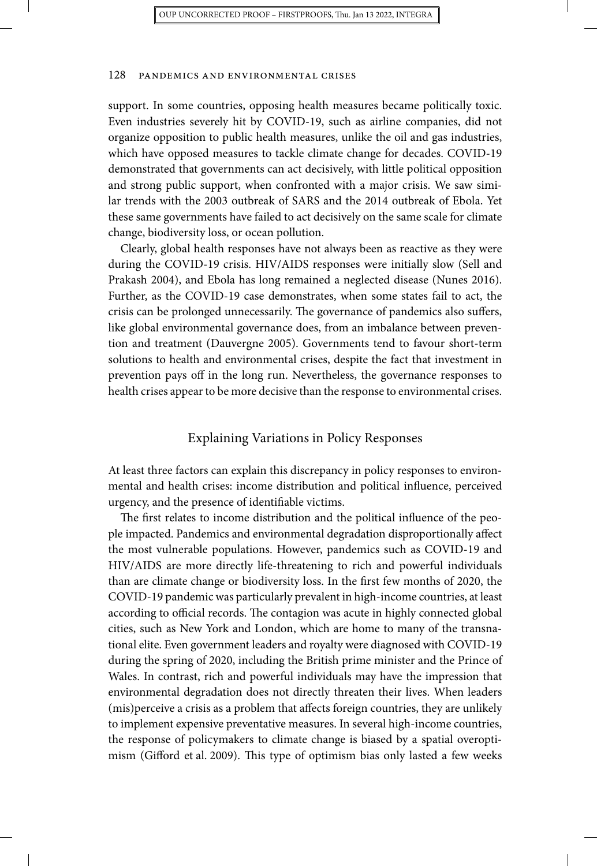support. In some countries, opposing health measures became politically toxic. Even industries severely hit by COVID-19, such as airline companies, did not organize opposition to public health measures, unlike the oil and gas industries, which have opposed measures to tackle climate change for decades. COVID-19 demonstrated that governments can act decisively, with little political opposition and strong public support, when confronted with a major crisis. We saw similar trends with the 2003 outbreak of SARS and the 2014 outbreak of Ebola. Yet these same governments have failed to act decisively on the same scale for climate change, biodiversity loss, or ocean pollution.

Clearly, global health responses have not always been as reactive as they were during the COVID-19 crisis. HIV/AIDS responses were initially slow (Sell and Prakash 2004), and Ebola has long remained a neglected disease (Nunes 2016). Further, as the COVID-19 case demonstrates, when some states fail to act, the crisis can be prolonged unnecessarily. The governance of pandemics also suffers, like global environmental governance does, from an imbalance between prevention and treatment (Dauvergne 2005). Governments tend to favour short-term solutions to health and environmental crises, despite the fact that investment in prevention pays off in the long run. Nevertheless, the governance responses to health crises appear to be more decisive than the response to environmental crises.

#### Explaining Variations in Policy Responses

At least three factors can explain this discrepancy in policy responses to environmental and health crises: income distribution and political influence, perceived urgency, and the presence of identifiable victims.

The first relates to income distribution and the political influence of the people impacted. Pandemics and environmental degradation disproportionally affect the most vulnerable populations. However, pandemics such as COVID-19 and HIV/AIDS are more directly life-threatening to rich and powerful individuals than are climate change or biodiversity loss. In the first few months of 2020, the COVID-19 pandemic was particularly prevalent in high-income countries, at least according to official records. The contagion was acute in highly connected global cities, such as New York and London, which are home to many of the transnational elite. Even government leaders and royalty were diagnosed with COVID-19 during the spring of 2020, including the British prime minister and the Prince of Wales. In contrast, rich and powerful individuals may have the impression that environmental degradation does not directly threaten their lives. When leaders (mis)perceive a crisis as a problem that affects foreign countries, they are unlikely to implement expensive preventative measures. In several high-income countries, the response of policymakers to climate change is biased by a spatial overoptimism (Gifford et al. 2009). This type of optimism bias only lasted a few weeks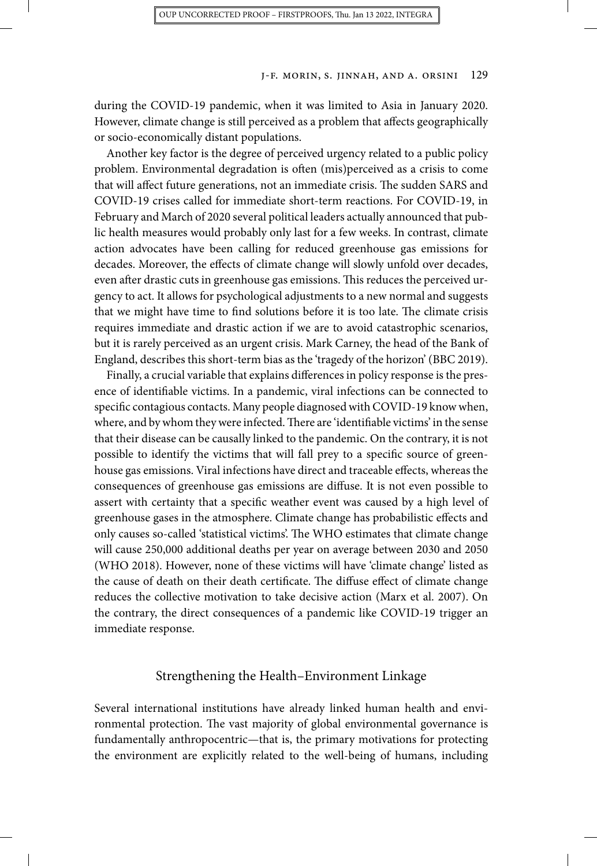during the COVID-19 pandemic, when it was limited to Asia in January 2020. However, climate change is still perceived as a problem that affects geographically or socio-economically distant populations.

Another key factor is the degree of perceived urgency related to a public policy problem. Environmental degradation is often (mis)perceived as a crisis to come that will affect future generations, not an immediate crisis. The sudden SARS and COVID-19 crises called for immediate short-term reactions. For COVID-19, in February and March of 2020 several political leaders actually announced that public health measures would probably only last for a few weeks. In contrast, climate action advocates have been calling for reduced greenhouse gas emissions for decades. Moreover, the effects of climate change will slowly unfold over decades, even after drastic cuts in greenhouse gas emissions. This reduces the perceived urgency to act. It allows for psychological adjustments to a new normal and suggests that we might have time to find solutions before it is too late. The climate crisis requires immediate and drastic action if we are to avoid catastrophic scenarios, but it is rarely perceived as an urgent crisis. Mark Carney, the head of the Bank of England, describes this short-term bias as the 'tragedy of the horizon' (BBC 2019).

Finally, a crucial variable that explains differences in policy response is the presence of identifiable victims. In a pandemic, viral infections can be connected to specific contagious contacts. Many people diagnosed with COVID-19 know when, where, and by whom they were infected.There are 'identifiable victims' in the sense that their disease can be causally linked to the pandemic. On the contrary, it is not possible to identify the victims that will fall prey to a specific source of greenhouse gas emissions. Viral infections have direct and traceable effects, whereas the consequences of greenhouse gas emissions are diffuse. It is not even possible to assert with certainty that a specific weather event was caused by a high level of greenhouse gases in the atmosphere. Climate change has probabilistic effects and only causes so-called 'statistical victims'. The WHO estimates that climate change will cause 250,000 additional deaths per year on average between 2030 and 2050 (WHO 2018). However, none of these victims will have 'climate change' listed as the cause of death on their death certificate. The diffuse effect of climate change reduces the collective motivation to take decisive action (Marx et al. 2007). On the contrary, the direct consequences of a pandemic like COVID-19 trigger an immediate response.

#### Strengthening the Health–Environment Linkage

Several international institutions have already linked human health and environmental protection. The vast majority of global environmental governance is fundamentally anthropocentric—that is, the primary motivations for protecting the environment are explicitly related to the well-being of humans, including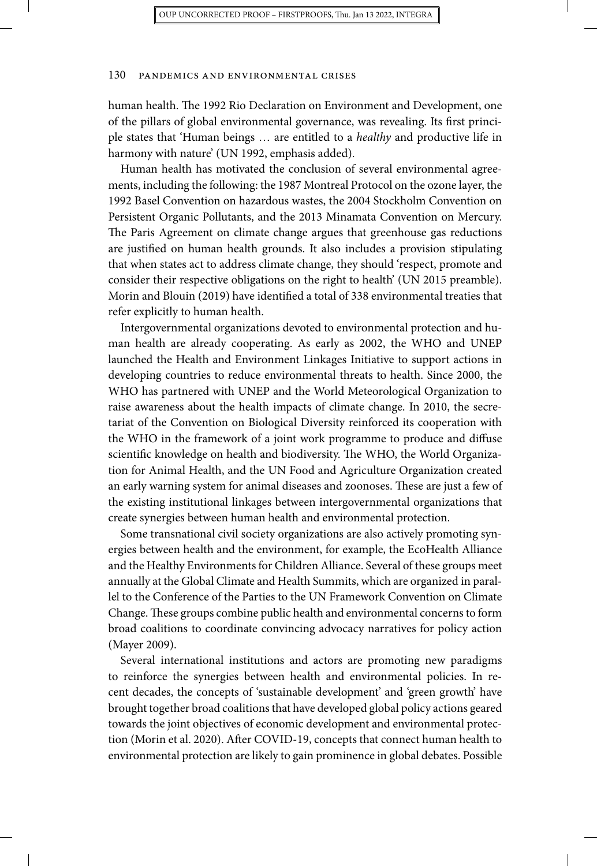human health. The 1992 Rio Declaration on Environment and Development, one of the pillars of global environmental governance, was revealing. Its first principle states that 'Human beings … are entitled to a *healthy* and productive life in harmony with nature' (UN 1992, emphasis added).

Human health has motivated the conclusion of several environmental agreements, including the following: the 1987 Montreal Protocol on the ozone layer, the 1992 Basel Convention on hazardous wastes, the 2004 Stockholm Convention on Persistent Organic Pollutants, and the 2013 Minamata Convention on Mercury. The Paris Agreement on climate change argues that greenhouse gas reductions are justified on human health grounds. It also includes a provision stipulating that when states act to address climate change, they should 'respect, promote and consider their respective obligations on the right to health' (UN 2015 preamble). Morin and Blouin (2019) have identified a total of 338 environmental treaties that refer explicitly to human health.

Intergovernmental organizations devoted to environmental protection and human health are already cooperating. As early as 2002, the WHO and UNEP launched the Health and Environment Linkages Initiative to support actions in developing countries to reduce environmental threats to health. Since 2000, the WHO has partnered with UNEP and the World Meteorological Organization to raise awareness about the health impacts of climate change. In 2010, the secretariat of the Convention on Biological Diversity reinforced its cooperation with the WHO in the framework of a joint work programme to produce and diffuse scientific knowledge on health and biodiversity. The WHO, the World Organization for Animal Health, and the UN Food and Agriculture Organization created an early warning system for animal diseases and zoonoses. These are just a few of the existing institutional linkages between intergovernmental organizations that create synergies between human health and environmental protection.

Some transnational civil society organizations are also actively promoting synergies between health and the environment, for example, the EcoHealth Alliance and the Healthy Environments for Children Alliance. Several of these groups meet annually at the Global Climate and Health Summits, which are organized in parallel to the Conference of the Parties to the UN Framework Convention on Climate Change. These groups combine public health and environmental concerns to form broad coalitions to coordinate convincing advocacy narratives for policy action (Mayer 2009).

Several international institutions and actors are promoting new paradigms to reinforce the synergies between health and environmental policies. In recent decades, the concepts of 'sustainable development' and 'green growth' have brought together broad coalitions that have developed global policy actions geared towards the joint objectives of economic development and environmental protection (Morin et al. 2020). After COVID-19, concepts that connect human health to environmental protection are likely to gain prominence in global debates. Possible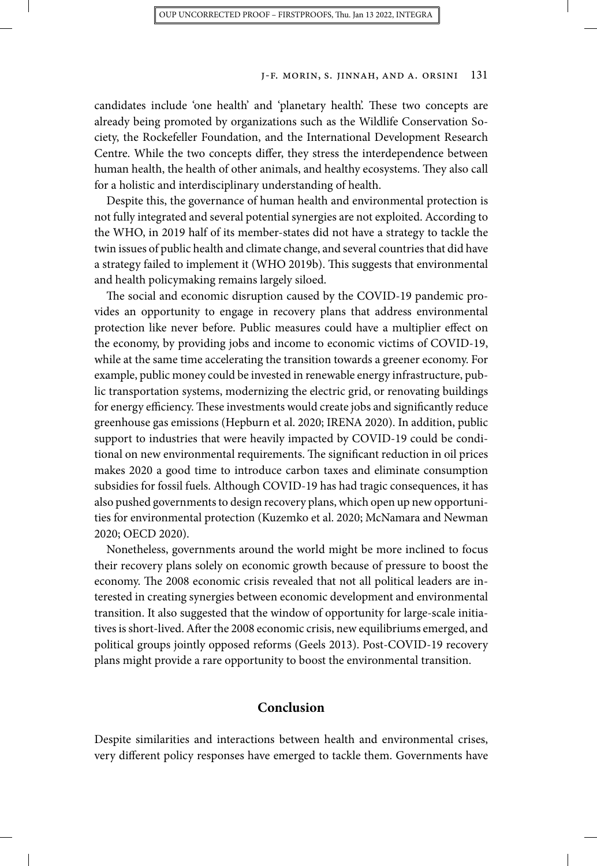candidates include 'one health' and 'planetary health'. These two concepts are already being promoted by organizations such as the Wildlife Conservation Society, the Rockefeller Foundation, and the International Development Research Centre. While the two concepts differ, they stress the interdependence between human health, the health of other animals, and healthy ecosystems. They also call for a holistic and interdisciplinary understanding of health.

Despite this, the governance of human health and environmental protection is not fully integrated and several potential synergies are not exploited. According to the WHO, in 2019 half of its member-states did not have a strategy to tackle the twin issues of public health and climate change, and several countries that did have a strategy failed to implement it (WHO 2019b). This suggests that environmental and health policymaking remains largely siloed.

The social and economic disruption caused by the COVID-19 pandemic provides an opportunity to engage in recovery plans that address environmental protection like never before. Public measures could have a multiplier effect on the economy, by providing jobs and income to economic victims of COVID-19, while at the same time accelerating the transition towards a greener economy. For example, public money could be invested in renewable energy infrastructure, public transportation systems, modernizing the electric grid, or renovating buildings for energy efficiency. These investments would create jobs and significantly reduce greenhouse gas emissions (Hepburn et al. 2020; IRENA 2020). In addition, public support to industries that were heavily impacted by COVID-19 could be conditional on new environmental requirements. The significant reduction in oil prices makes 2020 a good time to introduce carbon taxes and eliminate consumption subsidies for fossil fuels. Although COVID-19 has had tragic consequences, it has also pushed governments to design recovery plans, which open up new opportunities for environmental protection (Kuzemko et al. 2020; McNamara and Newman 2020; OECD 2020).

Nonetheless, governments around the world might be more inclined to focus their recovery plans solely on economic growth because of pressure to boost the economy. The 2008 economic crisis revealed that not all political leaders are interested in creating synergies between economic development and environmental transition. It also suggested that the window of opportunity for large-scale initiatives is short-lived. After the 2008 economic crisis, new equilibriums emerged, and political groups jointly opposed reforms (Geels 2013). Post-COVID-19 recovery plans might provide a rare opportunity to boost the environmental transition.

## **Conclusion**

Despite similarities and interactions between health and environmental crises, very different policy responses have emerged to tackle them. Governments have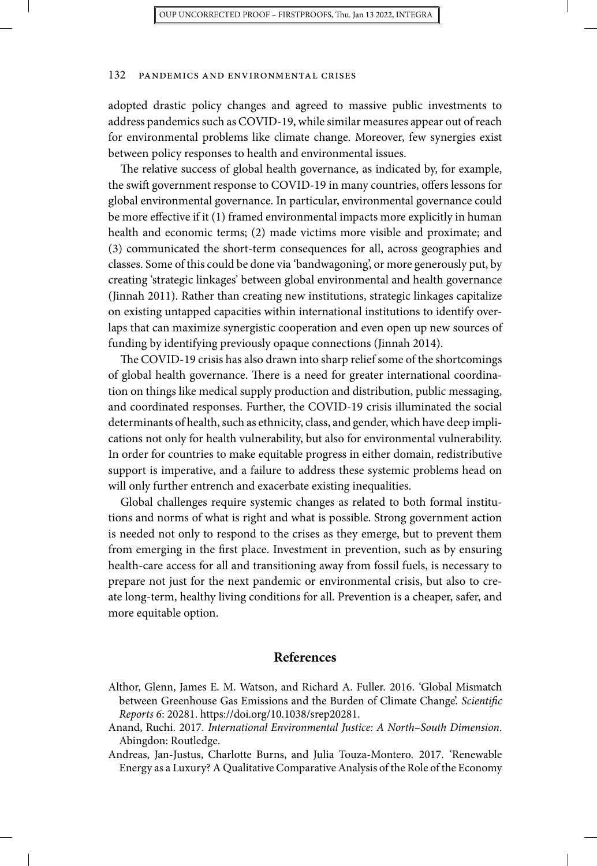adopted drastic policy changes and agreed to massive public investments to address pandemics such as COVID-19, while similar measures appear out of reach for environmental problems like climate change. Moreover, few synergies exist between policy responses to health and environmental issues.

The relative success of global health governance, as indicated by, for example, the swift government response to COVID-19 in many countries, offers lessons for global environmental governance. In particular, environmental governance could be more effective if it (1) framed environmental impacts more explicitly in human health and economic terms; (2) made victims more visible and proximate; and (3) communicated the short-term consequences for all, across geographies and classes. Some of this could be done via 'bandwagoning', or more generously put, by creating 'strategic linkages' between global environmental and health governance (Jinnah 2011). Rather than creating new institutions, strategic linkages capitalize on existing untapped capacities within international institutions to identify overlaps that can maximize synergistic cooperation and even open up new sources of funding by identifying previously opaque connections (Jinnah 2014).

The COVID-19 crisis has also drawn into sharp relief some of the shortcomings of global health governance. There is a need for greater international coordination on things like medical supply production and distribution, public messaging, and coordinated responses. Further, the COVID-19 crisis illuminated the social determinants of health, such as ethnicity, class, and gender, which have deep implications not only for health vulnerability, but also for environmental vulnerability. In order for countries to make equitable progress in either domain, redistributive support is imperative, and a failure to address these systemic problems head on will only further entrench and exacerbate existing inequalities.

Global challenges require systemic changes as related to both formal institutions and norms of what is right and what is possible. Strong government action is needed not only to respond to the crises as they emerge, but to prevent them from emerging in the first place. Investment in prevention, such as by ensuring health-care access for all and transitioning away from fossil fuels, is necessary to prepare not just for the next pandemic or environmental crisis, but also to create long-term, healthy living conditions for all. Prevention is a cheaper, safer, and more equitable option.

### **References**

- Althor, Glenn, James E. M. Watson, and Richard A. Fuller. 2016. 'Global Mismatch between Greenhouse Gas Emissions and the Burden of Climate Change'. *Scientific Reports 6*: 20281. [https://doi.org/10.1038/srep20281.](https://doi.org/10.1038/srep20281)
- Anand, Ruchi. 2017. *International Environmental Justice: A North–South Dimension*. Abingdon: Routledge.
- Andreas, Jan-Justus, Charlotte Burns, and Julia Touza-Montero. 2017. 'Renewable Energy as a Luxury? A Qualitative Comparative Analysis of the Role of the Economy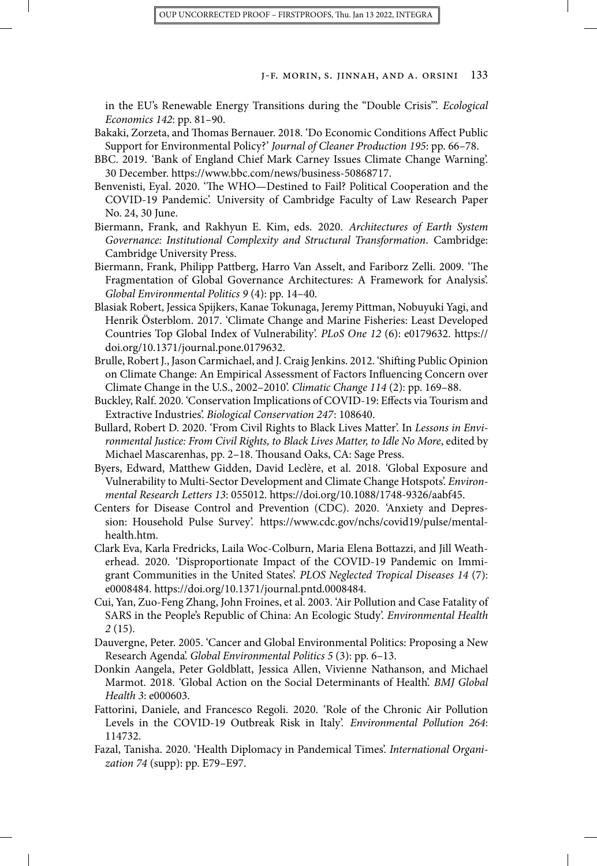in the EU's Renewable Energy Transitions during the "Double Crisis"'. *Ecological Economics 142*: pp. 81–90.

- Bakaki, Zorzeta, and Thomas Bernauer. 2018. 'Do Economic Conditions Affect Public Support for Environmental Policy?' *Journal of Cleaner Production 195*: pp. 66–78.
- BBC. 2019. 'Bank of England Chief Mark Carney Issues Climate Change Warning'. 30 December. [https://www.bbc.com/news/business-50868717.](https://www.bbc.com/news/business-50868717)
- Benvenisti, Eyal. 2020. 'The WHO—Destined to Fail? Political Cooperation and the COVID-19 Pandemic'. University of Cambridge Faculty of Law Research Paper No. 24, 30 June.
- Biermann, Frank, and Rakhyun E. Kim, eds. 2020. *Architectures of Earth System Governance: Institutional Complexity and Structural Transformation*. Cambridge: Cambridge University Press.
- Biermann, Frank, Philipp Pattberg, Harro Van Asselt, and Fariborz Zelli. 2009. 'The Fragmentation of Global Governance Architectures: A Framework for Analysis'. *Global Environmental Politics 9* (4): pp. 14–40.
- Blasiak Robert, Jessica Spijkers, Kanae Tokunaga, Jeremy Pittman, Nobuyuki Yagi, and Henrik Österblom. 2017. 'Climate Change and Marine Fisheries: Least Developed Countries Top Global Index of Vulnerability'. *PLoS One 12* (6): e0179632. [https://](https://doi.org/10.1371/journal.pone.0179632) [doi.org/10.1371/journal.pone.0179632.](https://doi.org/10.1371/journal.pone.0179632)
- Brulle, Robert J., Jason Carmichael, and J. Craig Jenkins. 2012. 'Shifting Public Opinion on Climate Change: An Empirical Assessment of Factors Influencing Concern over Climate Change in the U.S., 2002–2010'. *Climatic Change 114* (2): pp. 169–88.
- Buckley, Ralf. 2020. 'Conservation Implications of COVID-19: Effects via Tourism and Extractive Industries'. *Biological Conservation 247*: 108640.
- Bullard, Robert D. 2020. 'From Civil Rights to Black Lives Matter'. In *Lessons in Environmental Justice: From Civil Rights, to Black Lives Matter, to Idle No More*, edited by Michael Mascarenhas, pp. 2–18. Thousand Oaks, CA: Sage Press.
- Byers, Edward, Matthew Gidden, David Leclère, et al. 2018. 'Global Exposure and Vulnerability to Multi-Sector Development and Climate Change Hotspots'. *Environmental Research Letters 13*: 055012. <https://doi.org/10.1088/1748-9326/aabf45>.
- Centers for Disease Control and Prevention (CDC). 2020. 'Anxiety and Depression: Household Pulse Survey'. [https://www.cdc.gov/nchs/covid19/pulse/mental](https://www.cdc.gov/nchs/covid19/pulse/mental-health.htm)[health.htm](https://www.cdc.gov/nchs/covid19/pulse/mental-health.htm).
- Clark Eva, Karla Fredricks, Laila Woc-Colburn, Maria Elena Bottazzi, and Jill Weatherhead. 2020. 'Disproportionate Impact of the COVID-19 Pandemic on Immigrant Communities in the United States'. *PLOS Neglected Tropical Diseases 14* (7): e0008484. <https://doi.org/10.1371/journal.pntd.0008484>.
- Cui, Yan, Zuo-Feng Zhang, John Froines, et al. 2003. 'Air Pollution and Case Fatality of SARS in the People's Republic of China: An Ecologic Study'. *Environmental Health 2* (15).
- Dauvergne, Peter. 2005. 'Cancer and Global Environmental Politics: Proposing a New Research Agenda'. *Global Environmental Politics 5* (3): pp. 6–13.
- Donkin Aangela, Peter Goldblatt, Jessica Allen, Vivienne Nathanson, and Michael Marmot. 2018. 'Global Action on the Social Determinants of Health'. *BMJ Global Health 3*: e000603.
- Fattorini, Daniele, and Francesco Regoli. 2020. 'Role of the Chronic Air Pollution Levels in the COVID-19 Outbreak Risk in Italy'. *Environmental Pollution 264*: 114732.
- Fazal, Tanisha. 2020. 'Health Diplomacy in Pandemical Times'. *International Organization 74* (supp): pp. E79–E97.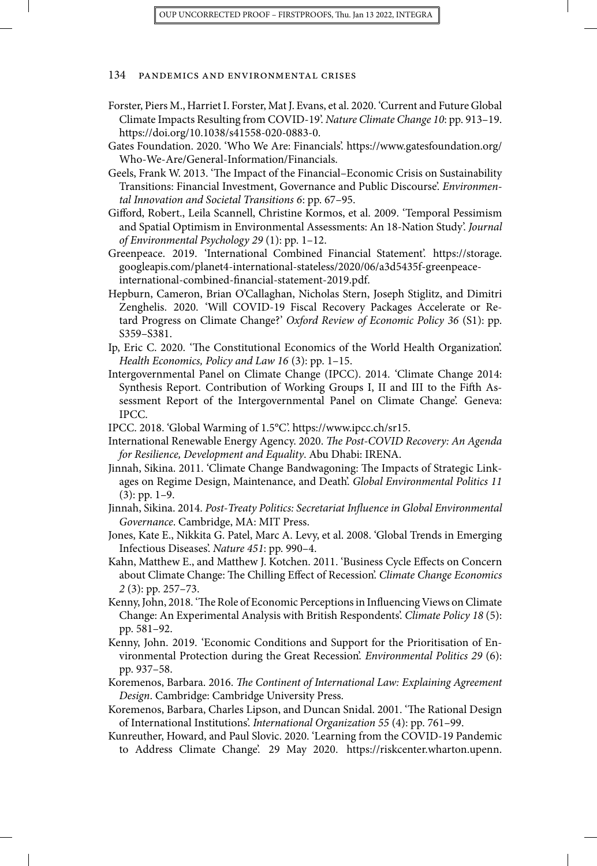- Forster, Piers M., Harriet I. Forster, Mat J. Evans, et al. 2020. 'Current and Future Global Climate Impacts Resulting from COVID-19'. *Nature Climate Change 10*: pp. 913–19. [https://doi.org/10.1038/s41558-020-0883-0.](https://doi.org/10.1038/s41558-020-0883-0)
- Gates Foundation. 2020. 'Who We Are: Financials'. [https://www.gatesfoundation.org/](https://www.gatesfoundation.org/Who-We-Are/General-Information/Financials) [Who-We-Are/General-Information/Financials.](https://www.gatesfoundation.org/Who-We-Are/General-Information/Financials)
- Geels, Frank W. 2013. 'The Impact of the Financial–Economic Crisis on Sustainability Transitions: Financial Investment, Governance and Public Discourse'. *Environmental Innovation and Societal Transitions 6*: pp. 67–95.
- Gifford, Robert., Leila Scannell, Christine Kormos, et al. 2009. 'Temporal Pessimism and Spatial Optimism in Environmental Assessments: An 18-Nation Study'. *Journal of Environmental Psychology 29* (1): pp. 1–12.
- Greenpeace. 2019. 'International Combined Financial Statement'. [https://storage.](https://storage.googleapis.com/planet4-international-stateless/2020/06/a3d5435f-greenpeace-international-combined-financial-statement-2019.pdf) [googleapis.com/planet4-international-stateless/2020/06/a3d5435f-greenpeace](https://storage.googleapis.com/planet4-international-stateless/2020/06/a3d5435f-greenpeace-international-combined-financial-statement-2019.pdf)[international-combined-financial-statement-2019.pdf](https://storage.googleapis.com/planet4-international-stateless/2020/06/a3d5435f-greenpeace-international-combined-financial-statement-2019.pdf).
- Hepburn, Cameron, Brian O'Callaghan, Nicholas Stern, Joseph Stiglitz, and Dimitri Zenghelis. 2020. 'Will COVID-19 Fiscal Recovery Packages Accelerate or Retard Progress on Climate Change?' *Oxford Review of Economic Policy 36* (S1): pp. S359–S381.
- Ip, Eric C. 2020. 'The Constitutional Economics of the World Health Organization'. *Health Economics, Policy and Law 16* (3): pp. 1–15.
- Intergovernmental Panel on Climate Change (IPCC). 2014. 'Climate Change 2014: Synthesis Report. Contribution of Working Groups I, II and III to the Fifth Assessment Report of the Intergovernmental Panel on Climate Change'. Geneva: IPCC.
- IPCC. 2018. 'Global Warming of 1.5°C'. <https://www.ipcc.ch/sr15>.
- International Renewable Energy Agency. 2020. *The Post-COVID Recovery: An Agenda for Resilience, Development and Equality*. Abu Dhabi: IRENA.
- Jinnah, Sikina. 2011. 'Climate Change Bandwagoning: The Impacts of Strategic Linkages on Regime Design, Maintenance, and Death'. *Global Environmental Politics 11* (3): pp. 1–9.
- Jinnah, Sikina. 2014. *Post-Treaty Politics: Secretariat Influence in Global Environmental Governance*. Cambridge, MA: MIT Press.
- Jones, Kate E., Nikkita G. Patel, Marc A. Levy, et al. 2008. 'Global Trends in Emerging Infectious Diseases'. *Nature 451*: pp. 990–4.
- Kahn, Matthew E., and Matthew J. Kotchen. 2011. 'Business Cycle Effects on Concern about Climate Change: The Chilling Effect of Recession'. *Climate Change Economics 2* (3): pp. 257–73.
- Kenny, John, 2018. 'The Role of Economic Perceptions in Influencing Views on Climate Change: An Experimental Analysis with British Respondents'. *Climate Policy 18* (5): pp. 581–92.
- Kenny, John. 2019. 'Economic Conditions and Support for the Prioritisation of Environmental Protection during the Great Recession'. *Environmental Politics 29* (6): pp. 937–58.
- Koremenos, Barbara. 2016. *The Continent of International Law: Explaining Agreement Design*. Cambridge: Cambridge University Press.
- Koremenos, Barbara, Charles Lipson, and Duncan Snidal. 2001. 'The Rational Design of International Institutions'. *International Organization 55* (4): pp. 761–99.
- Kunreuther, Howard, and Paul Slovic. 2020. 'Learning from the COVID-19 Pandemic to Address Climate Change'. 29 May 2020. [https://riskcenter.wharton.upenn.](https://riskcenter.wharton.upenn.edu/wp-content/uploads/2020/06/Learning-from-the-COVID-19-Pandemic-to-Address-Climate-Change_wp.pdf)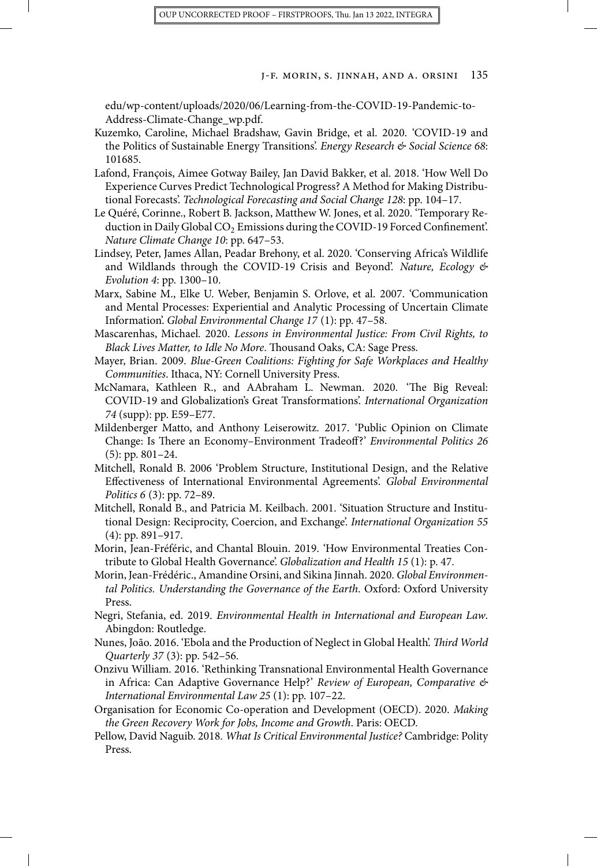[edu/wp-content/uploads/2020/06/Learning-from-the-COVID-19-Pandemic-to-](https://riskcenter.wharton.upenn.edu/wp-content/uploads/2020/06/Learning-from-the-COVID-19-Pandemic-to-Address-Climate-Change_wp.pdf)[Address-Climate-Change\\_wp.pdf](https://riskcenter.wharton.upenn.edu/wp-content/uploads/2020/06/Learning-from-the-COVID-19-Pandemic-to-Address-Climate-Change_wp.pdf).

- Kuzemko, Caroline, Michael Bradshaw, Gavin Bridge, et al. 2020. 'COVID-19 and the Politics of Sustainable Energy Transitions'. *Energy Research & Social Science 68*: 101685.
- Lafond, François, Aimee Gotway Bailey, Jan David Bakker, et al. 2018. 'How Well Do Experience Curves Predict Technological Progress? A Method for Making Distributional Forecasts'. *Technological Forecasting and Social Change 128*: pp. 104–17.
- Le Quéré, Corinne., Robert B. Jackson, Matthew W. Jones, et al. 2020. 'Temporary Reduction in Daily Global CO<sub>2</sub> Emissions during the COVID-19 Forced Confinement'. *Nature Climate Change 10*: pp. 647–53.
- Lindsey, Peter, James Allan, Peadar Brehony, et al. 2020. 'Conserving Africa's Wildlife and Wildlands through the COVID-19 Crisis and Beyond'. *Nature, Ecology & Evolution 4*: pp. 1300–10.
- Marx, Sabine M., Elke U. Weber, Benjamin S. Orlove, et al. 2007. 'Communication and Mental Processes: Experiential and Analytic Processing of Uncertain Climate Information'. *Global Environmental Change 17* (1): pp. 47–58.
- Mascarenhas, Michael. 2020. *Lessons in Environmental Justice: From Civil Rights, to Black Lives Matter, to Idle No More*. Thousand Oaks, CA: Sage Press.
- Mayer, Brian. 2009. *Blue-Green Coalitions: Fighting for Safe Workplaces and Healthy Communities*. Ithaca, NY: Cornell University Press.
- McNamara, Kathleen R., and AAbraham L. Newman. 2020. 'The Big Reveal: COVID-19 and Globalization's Great Transformations'. *International Organization 74* (supp): pp. E59–E77.
- Mildenberger Matto, and Anthony Leiserowitz. 2017. 'Public Opinion on Climate Change: Is There an Economy–Environment Tradeoff?' *Environmental Politics 26* (5): pp. 801–24.
- Mitchell, Ronald B. 2006 'Problem Structure, Institutional Design, and the Relative Effectiveness of International Environmental Agreements'. *Global Environmental Politics 6* (3): pp. 72–89.
- Mitchell, Ronald B., and Patricia M. Keilbach. 2001. 'Situation Structure and Institutional Design: Reciprocity, Coercion, and Exchange'. *International Organization 55* (4): pp. 891–917.
- Morin, Jean-Fréféric, and Chantal Blouin. 2019. 'How Environmental Treaties Contribute to Global Health Governance'. *Globalization and Health 15* (1): p. 47.
- Morin, Jean-Frédéric., Amandine Orsini, and Sikina Jinnah. 2020. *Global Environmental Politics. Understanding the Governance of the Earth*. Oxford: Oxford University Press.
- Negri, Stefania, ed. 2019. *Environmental Health in International and European Law*. Abingdon: Routledge.
- Nunes, João. 2016. 'Ebola and the Production of Neglect in Global Health'. *Third World Quarterly 37* (3): pp. 542–56.
- Onzivu William. 2016. 'Rethinking Transnational Environmental Health Governance in Africa: Can Adaptive Governance Help?' *Review of European, Comparative & International Environmental Law 25* (1): pp. 107–22.
- Organisation for Economic Co-operation and Development (OECD). 2020. *Making the Green Recovery Work for Jobs, Income and Growth*. Paris: OECD.
- Pellow, David Naguib. 2018. *What Is Critical Environmental Justice?* Cambridge: Polity Press.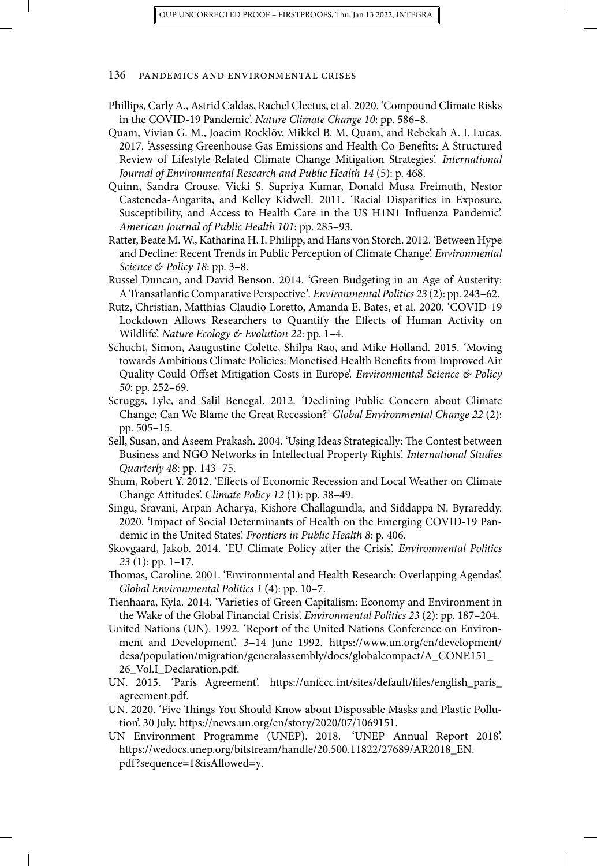- Phillips, Carly A., Astrid Caldas, Rachel Cleetus, et al. 2020. 'Compound Climate Risks in the COVID-19 Pandemic'. *Nature Climate Change 10*: pp. 586–8.
- Quam, Vivian G. M., Joacim Rocklöv, Mikkel B. M. Quam, and Rebekah A. I. Lucas. 2017. 'Assessing Greenhouse Gas Emissions and Health Co-Benefits: A Structured Review of Lifestyle-Related Climate Change Mitigation Strategies'. *International Journal of Environmental Research and Public Health 14* (5): p. 468.
- Quinn, Sandra Crouse, Vicki S. Supriya Kumar, Donald Musa Freimuth, Nestor Casteneda-Angarita, and Kelley Kidwell. 2011. 'Racial Disparities in Exposure, Susceptibility, and Access to Health Care in the US H1N1 Influenza Pandemic'. *American Journal of Public Health 101*: pp. 285–93.
- Ratter, Beate M. W., Katharina H. I. Philipp, and Hans von Storch. 2012. 'Between Hype and Decline: Recent Trends in Public Perception of Climate Change'. *Environmental Science & Policy 18*: pp. 3–8.
- Russel Duncan, and David Benson. 2014. 'Green Budgeting in an Age of Austerity: A Transatlantic Comparative Perspective*'. Environmental Politics 23* (2): pp. 243–62.
- Rutz, Christian, Matthias-Claudio Loretto, Amanda E. Bates, et al. 2020. 'COVID-19 Lockdown Allows Researchers to Quantify the Effects of Human Activity on Wildlife'. *Nature Ecology & Evolution 22*: pp. 1–4.
- Schucht, Simon, Aaugustine Colette, Shilpa Rao, and Mike Holland. 2015. 'Moving towards Ambitious Climate Policies: Monetised Health Benefits from Improved Air Quality Could Offset Mitigation Costs in Europe'. *Environmental Science & Policy 50*: pp. 252–69.
- Scruggs, Lyle, and Salil Benegal. 2012. 'Declining Public Concern about Climate Change: Can We Blame the Great Recession?' *Global Environmental Change 22* (2): pp. 505–15.
- Sell, Susan, and Aseem Prakash. 2004. 'Using Ideas Strategically: The Contest between Business and NGO Networks in Intellectual Property Rights'. *International Studies Quarterly 48*: pp. 143–75.
- Shum, Robert Y. 2012. 'Effects of Economic Recession and Local Weather on Climate Change Attitudes'. *Climate Policy 12* (1): pp. 38–49.
- Singu, Sravani, Arpan Acharya, Kishore Challagundla, and Siddappa N. Byrareddy. 2020. 'Impact of Social Determinants of Health on the Emerging COVID-19 Pandemic in the United States'. *Frontiers in Public Health 8*: p. 406.
- Skovgaard, Jakob. 2014. 'EU Climate Policy after the Crisis'. *Environmental Politics 23* (1): pp. 1–17.
- Thomas, Caroline. 2001. 'Environmental and Health Research: Overlapping Agendas'. *Global Environmental Politics 1* (4): pp. 10–7.
- Tienhaara, Kyla. 2014. 'Varieties of Green Capitalism: Economy and Environment in the Wake of the Global Financial Crisis'. *Environmental Politics 23* (2): pp. 187–204.
- United Nations (UN). 1992. 'Report of the United Nations Conference on Environment and Development'. 3–14 June 1992. [https://www.un.org/en/development/](https://www.un.org/en/development/desa/population/migration/generalassembly/docs/globalcompact/A_CONF.151_26_Vol.I_Declaration.pdf) [desa/population/migration/generalassembly/docs/globalcompact/A\\_CONF.151\\_](https://www.un.org/en/development/desa/population/migration/generalassembly/docs/globalcompact/A_CONF.151_26_Vol.I_Declaration.pdf) [26\\_Vol.I\\_Declaration.pdf](https://www.un.org/en/development/desa/population/migration/generalassembly/docs/globalcompact/A_CONF.151_26_Vol.I_Declaration.pdf).
- UN. 2015. 'Paris Agreement'. [https://unfccc.int/sites/default/files/english\\_paris\\_](https://unfccc.int/sites/default/files/english_paris_agreement.pdf) [agreement.pdf](https://unfccc.int/sites/default/files/english_paris_agreement.pdf).
- UN. 2020. 'Five Things You Should Know about Disposable Masks and Plastic Pollution'. 30 July. [https://news.un.org/en/story/2020/07/1069151.](https://news.un.org/en/story/2020/07/1069151)
- UN Environment Programme (UNEP). 2018. 'UNEP Annual Report 2018'. [https://wedocs.unep.org/bitstream/handle/20.500.11822/27689/AR2018\\_EN.](https://wedocs.unep.org/bitstream/handle/20.500.11822/27689/AR2018_EN.pdf?sequence=1%26isAllowed=y) [pdf?sequence=1&isAllowed=y.](https://wedocs.unep.org/bitstream/handle/20.500.11822/27689/AR2018_EN.pdf?sequence=1%26isAllowed=y)